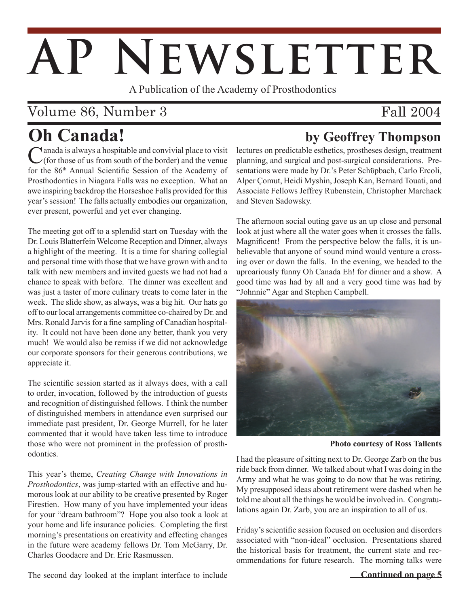# AP NEWSLETTER

A Publication of the Academy of Prosthodontics

## Volume 86, Number 3

## Fall 2004

## **Oh Canada!**

**by Geoffrey Thompson**

Canada is always a hospitable and convivial place to visit  $\angle$ (for those of us from south of the border) and the venue for the 86th Annual Scientific Session of the Academy of Prosthodontics in Niagara Falls was no exception. What an awe inspiring backdrop the Horseshoe Falls provided for this year's session! The falls actually embodies our organization, ever present, powerful and yet ever changing.

The meeting got off to a splendid start on Tuesday with the Dr. Louis Blatterfein Welcome Reception and Dinner, always a highlight of the meeting. It is a time for sharing collegial and personal time with those that we have grown with and to talk with new members and invited guests we had not had a chance to speak with before. The dinner was excellent and was just a taster of more culinary treats to come later in the week. The slide show, as always, was a big hit. Our hats go off to our local arrangements committee co-chaired by Dr. and Mrs. Ronald Jarvis for a fine sampling of Canadian hospitality. It could not have been done any better, thank you very much! We would also be remiss if we did not acknowledge our corporate sponsors for their generous contributions, we appreciate it.

The scientific session started as it always does, with a call to order, invocation, followed by the introduction of guests and recognition of distinguished fellows. I think the number of distinguished members in attendance even surprised our immediate past president, Dr. George Murrell, for he later commented that it would have taken less time to introduce those who were not prominent in the profession of prosthodontics.

This year's theme, *Creating Change with Innovations in Prosthodontics*, was jump-started with an effective and humorous look at our ability to be creative presented by Roger Firestien. How many of you have implemented your ideas for your "dream bathroom"? Hope you also took a look at your home and life insurance policies. Completing the first morning's presentations on creativity and effecting changes in the future were academy fellows Dr. Tom McGarry, Dr. Charles Goodacre and Dr. Eric Rasmussen.

The second day looked at the implant interface to include

lectures on predictable esthetics, prostheses design, treatment planning, and surgical and post-surgical considerations. Presentations were made by Dr.'s Peter Schϋpbach, Carlo Ercoli, Alper Çomut, Heidi Myshin, Joseph Kan, Bernard Touati, and Associate Fellows Jeffrey Rubenstein, Christopher Marchack and Steven Sadowsky.

The afternoon social outing gave us an up close and personal look at just where all the water goes when it crosses the falls. Magnificent! From the perspective below the falls, it is unbelievable that anyone of sound mind would venture a crossing over or down the falls. In the evening, we headed to the uproariously funny Oh Canada Eh! for dinner and a show. A good time was had by all and a very good time was had by "Johnnie" Agar and Stephen Campbell.



**Photo courtesy of Ross Tallents**

I had the pleasure of sitting next to Dr. George Zarb on the bus ride back from dinner. We talked about what I was doing in the Army and what he was going to do now that he was retiring. My presupposed ideas about retirement were dashed when he told me about all the things he would be involved in. Congratulations again Dr. Zarb, you are an inspiration to all of us.

Friday's scientific session focused on occlusion and disorders associated with "non-ideal" occlusion. Presentations shared the historical basis for treatment, the current state and recommendations for future research. The morning talks were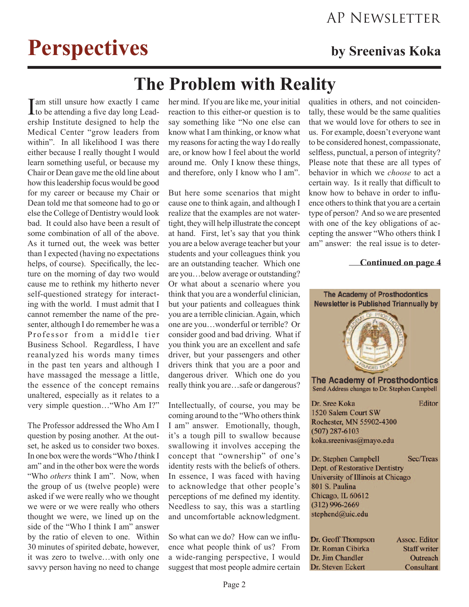## **Perspectives** by Sreenivas Koka

## **The Problem with Reality**

I am still unsure how exactly I came<br>to be attending a five day long Leadership Institute designed to help the Medical Center "grow leaders from within". In all likelihood I was there either because I really thought I would learn something useful, or because my Chair or Dean gave me the old line about how this leadership focus would be good for my career or because my Chair or Dean told me that someone had to go or else the College of Dentistry would look bad. It could also have been a result of some combination of all of the above. As it turned out, the week was better than I expected (having no expectations helps, of course). Specifically, the lecture on the morning of day two would cause me to rethink my hitherto never self-questioned strategy for interacting with the world. I must admit that I cannot remember the name of the presenter, although I do remember he was a Professor from a middle tier Business School. Regardless, I have reanalyzed his words many times in the past ten years and although I have massaged the message a little, the essence of the concept remains unaltered, especially as it relates to a very simple question…"Who Am I?"

The Professor addressed the Who Am I question by posing another. At the outset, he asked us to consider two boxes. In one box were the words "Who *I* think I am" and in the other box were the words "Who *others* think I am". Now, when the group of us (twelve people) were asked if we were really who we thought we were or we were really who others thought we were, we lined up on the side of the "Who I think I am" answer by the ratio of eleven to one. Within 30 minutes of spirited debate, however, it was zero to twelve…with only one savvy person having no need to change

her mind. If you are like me, your initial reaction to this either-or question is to say something like "No one else can know what I am thinking, or know what my reasons for acting the way I do really are, or know how I feel about the world around me. Only I know these things, and therefore, only I know who I am".

But here some scenarios that might cause one to think again, and although I realize that the examples are not watertight, they will help illustrate the concept at hand. First, let's say that you think you are a below average teacher but your students and your colleagues think you are an outstanding teacher. Which one are you…below average or outstanding? Or what about a scenario where you think that you are a wonderful clinician, but your patients and colleagues think you are a terrible clinician. Again, which one are you…wonderful or terrible? Or consider good and bad driving. What if you think you are an excellent and safe driver, but your passengers and other drivers think that you are a poor and dangerous driver. Which one do you really think you are…safe or dangerous?

Intellectually, of course, you may be coming around to the "Who others think I am" answer. Emotionally, though, it's a tough pill to swallow because swallowing it involves acceping the concept that "ownership" of one's identity rests with the beliefs of others. In essence, I was faced with having to acknowledge that other people's perceptions of me defined my identity. Needless to say, this was a startling and uncomfortable acknowledgment.

So what can we do? How can we influence what people think of us? From a wide-ranging perspective, I would suggest that most people admire certain qualities in others, and not coincidentally, these would be the same qualities that we would love for others to see in us. For example, doesn't everyone want to be considered honest, compassionate, selfless, punctual, a person of integrity? Please note that these are all types of behavior in which we *choose* to act a certain way. Is it really that difficult to know how to behave in order to influence others to think that you are a certain type of person? And so we are presented with one of the key obligations of accepting the answer "Who others think I am" answer: the real issue is to deter-

#### **Continued on page 4**

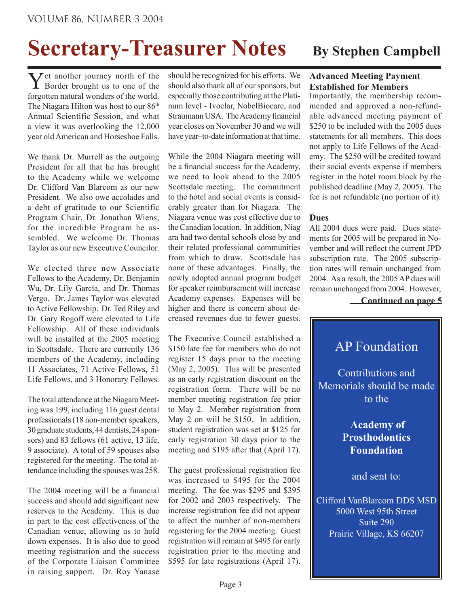# **Secretary-Treasurer Notes** By Stephen Campbell

Yet another journey north of the Border brought us to one of the forgotten natural wonders of the world. The Niagara Hilton was host to our 86<sup>th</sup> Annual Scientific Session, and what a view it was overlooking the 12,000 year old American and Horseshoe Falls.

We thank Dr. Murrell as the outgoing President for all that he has brought to the Academy while we welcome Dr. Clifford Van Blarcom as our new President. We also owe accolades and a debt of gratitude to our Scientific Program Chair, Dr. Jonathan Wiens, for the incredible Program he assembled. We welcome Dr. Thomas Taylor as our new Executive Councilor.

We elected three new Associate Fellows to the Academy, Dr. Benjamin Wu, Dr. Lily Garcia, and Dr. Thomas Vergo. Dr. James Taylor was elevated to Active Fellowship. Dr. Ted Riley and Dr. Gary Rogoff were elevated to Life Fellowship. All of these individuals will be installed at the 2005 meeting in Scottsdale. There are currently 136 members of the Academy, including 11 Associates, 71 Active Fellows, 51 Life Fellows, and 3 Honorary Fellows.

The total attendance at the Niagara Meeting was 199, including 116 guest dental professionals (18 non-member speakers, 30 graduate students, 44 dentists, 24 sponsors) and 83 fellows (61 active, 13 life, 9 associate). A total of 59 spouses also registered for the meeting. The total attendance including the spouses was 258.

The 2004 meeting will be a financial success and should add significant new reserves to the Academy. This is due in part to the cost effectiveness of the Canadian venue, allowing us to hold down expenses. It is also due to good meeting registration and the success of the Corporate Liaison Committee in raising support. Dr. Roy Yanase

should be recognized for his efforts. We should also thank all of our sponsors, but especially those contributing at the Platinum level - Ivoclar, NobelBiocare, and Straumann USA. The Academy financial year closes on November 30 and we will have year–to-date information at that time.

While the 2004 Niagara meeting will be a financial success for the Academy, we need to look ahead to the 2005 Scottsdale meeting. The commitment to the hotel and social events is considerably greater than for Niagara. The Niagara venue was cost effective due to the Canadian location. In addition, Niag ara had two dental schools close by and their related professional communities from which to draw. Scottsdale has none of these advantages. Finally, the newly adopted annual program budget for speaker reimbursement will increase Academy expenses. Expenses will be higher and there is concern about decreased revenues due to fewer guests.

The Executive Council established a \$150 late fee for members who do not register 15 days prior to the meeting (May 2, 2005). This will be presented as an early registration discount on the registration form. There will be no member meeting registration fee prior to May 2. Member registration from May 2 on will be \$150. In addition, student registration was set at \$125 for early registration 30 days prior to the meeting and \$195 after that (April 17).

The guest professional registration fee was increased to \$495 for the 2004 meeting. The fee was \$295 and \$395 for 2002 and 2003 respectively. The increase registration fee did not appear to affect the number of non-members registering for the 2004 meeting. Guest registration will remain at \$495 for early registration prior to the meeting and \$595 for late registrations (April 17).

#### **Advanced Meeting Payment Established for Members**

Importantly, the membership recommended and approved a non-refundable advanced meeting payment of \$250 to be included with the 2005 dues statements for all members. This does not apply to Life Fellows of the Academy. The \$250 will be credited toward their social events expense if members register in the hotel room block by the published deadline (May 2, 2005). The fee is not refundable (no portion of it).

#### **Dues**

All 2004 dues were paid. Dues statements for 2005 will be prepared in November and will reflect the current JPD subscription rate. The 2005 subscription rates will remain unchanged from 2004. As a result, the 2005 AP dues will remain unchanged from 2004. However,

**Continued on page 5**

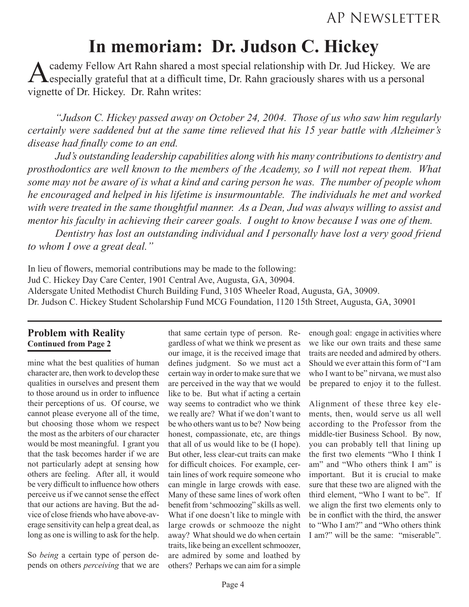## **In memoriam: Dr. Judson C. Hickey**

A cademy Fellow Art Rahn shared a most special relationship with Dr. Jud Hickey. We are especially grateful that at a difficult time, Dr. Rahn graciously shares with us a personal vignette of Dr. Hickey. Dr. Rahn writes:

*"Judson C. Hickey passed away on October 24, 2004. Those of us who saw him regularly certainly were saddened but at the same time relieved that his 15 year battle with Alzheimer's disease had finally come to an end.* 

 *Jud's outstanding leadership capabilities along with his many contributions to dentistry and prosthodontics are well known to the members of the Academy, so I will not repeat them. What some may not be aware of is what a kind and caring person he was. The number of people whom he encouraged and helped in his lifetime is insurmountable. The individuals he met and worked with were treated in the same thoughtful manner. As a Dean, Jud was always willing to assist and mentor his faculty in achieving their career goals. I ought to know because I was one of them.* 

 *Dentistry has lost an outstanding individual and I personally have lost a very good friend to whom I owe a great deal."*

In lieu of flowers, memorial contributions may be made to the following: Jud C. Hickey Day Care Center, 1901 Central Ave, Augusta, GA, 30904. Aldersgate United Methodist Church Building Fund, 3105 Wheeler Road, Augusta, GA, 30909. Dr. Judson C. Hickey Student Scholarship Fund MCG Foundation, 1120 15th Street, Augusta, GA, 30901

#### **Problem with Reality Continued from Page 2**

mine what the best qualities of human character are, then work to develop these qualities in ourselves and present them to those around us in order to influence their perceptions of us. Of course, we cannot please everyone all of the time, but choosing those whom we respect the most as the arbiters of our character would be most meaningful. I grant you that the task becomes harder if we are not particularly adept at sensing how others are feeling. After all, it would be very difficult to influence how others perceive us if we cannot sense the effect that our actions are having. But the advice of close friends who have above-average sensitivity can help a great deal, as long as one is willing to ask for the help.

So *being* a certain type of person depends on others *perceiving* that we are

that same certain type of person. Regardless of what we think we present as our image, it is the received image that defines judgment. So we must act a certain way in order to make sure that we are perceived in the way that we would like to be. But what if acting a certain way seems to contradict who we think we really are? What if we don't want to be who others want us to be? Now being honest, compassionate, etc, are things that all of us would like to be (I hope). But other, less clear-cut traits can make for difficult choices. For example, certain lines of work require someone who can mingle in large crowds with ease. Many of these same lines of work often benefit from 'schmoozing" skills as well. What if one doesn't like to mingle with large crowds or schmooze the night away? What should we do when certain traits, like being an excellent schmoozer, are admired by some and loathed by others? Perhaps we can aim for a simple

enough goal: engage in activities where we like our own traits and these same traits are needed and admired by others. Should we ever attain this form of "I am who I want to be" nirvana, we must also be prepared to enjoy it to the fullest.

Alignment of these three key elements, then, would serve us all well according to the Professor from the middle-tier Business School. By now, you can probably tell that lining up the first two elements "Who I think I am" and "Who others think I am" is important. But it is crucial to make sure that these two are aligned with the third element, "Who I want to be". If we align the first two elements only to be in conflict with the third, the answer to "Who I am?" and "Who others think I am?" will be the same: "miserable".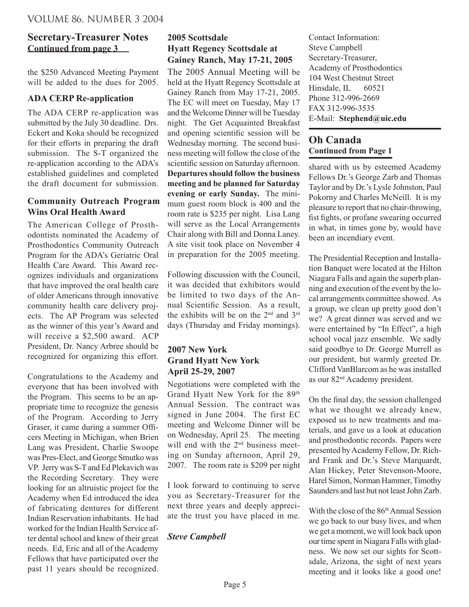### **Continued from page 3 Secretary-Treasurer Notes**

the \$250 Advanced Meeting Payment will be added to the dues for 2005.

#### **ADA CERP Re-application**

The ADA CERP re-application was submitted by the July 30 deadline. Drs. Eckert and Koka should be recognized for their efforts in preparing the draft submission. The S-T organized the re-application according to the ADA's established guidelines and completed the draft document for submission.

#### **Community Outreach Program Wins Oral Health Award**

The American College of Prosthodontists nominated the Academy of Prosthodontics Community Outreach Program for the ADA's Geriatric Oral Health Care Award. This Award recognizes individuals and organizations that have improved the oral health care of older Americans through innovative community health care delivery projects. The AP Program was selected as the winner of this year's Award and will receive a \$2,500 award. ACP President, Dr. Nancy Arbree should be recognized for organizing this effort.

Congratulations to the Academy and everyone that has been involved with the Program. This seems to be an appropriate time to recognize the genesis of the Program. According to Jerry Graser, it came during a summer Officers Meeting in Michigan, when Brien Lang was President, Charlie Swoope was Pres-Elect, and George Smutko was VP. Jerry was S-T and Ed Plekavich was the Recording Secretary. They were looking for an altruistic project for the Academy when Ed introduced the idea of fabricating dentures for different Indian Reservation inhabitants. He had worked for the Indian Health Service after dental school and knew of their great needs. Ed, Eric and all of the Academy Fellows that have participated over the past 11 years should be recognized.

### **2005 Scottsdale Hyatt Regency Scottsdale at Gainey Ranch, May 17-21, 2005**

The 2005 Annual Meeting will be held at the Hyatt Regency Scottsdale at Gainey Ranch from May 17-21, 2005. The EC will meet on Tuesday, May 17 and the Welcome Dinner will be Tuesday night. The Get Acquainted Breakfast and opening scientific session will be Wednesday morning. The second business meeting will follow the close of the scientific session on Saturday afternoon. **Departures should follow the business meeting and be planned for Saturday evening or early Sunday.** The minimum guest room block is 400 and the room rate is \$235 per night. Lisa Lang will serve as the Local Arrangements Chair along with Bill and Donna Laney. A site visit took place on November 4 in preparation for the 2005 meeting.

Following discussion with the Council, it was decided that exhibitors would be limited to two days of the Annual Scientific Session. As a result, the exhibits will be on the 2nd and 3rd days (Thursday and Friday mornings).

### **2007 New York Grand Hyatt New York April 25-29, 2007**

Negotiations were completed with the Grand Hyatt New York for the 89th Annual Session. The contract was signed in June 2004. The first EC meeting and Welcome Dinner will be on Wednesday, April 25. The meeting will end with the 2<sup>nd</sup> business meeting on Sunday afternoon, April 29, 2007. The room rate is \$209 per night

I look forward to continuing to serve you as Secretary-Treasurer for the next three years and deeply appreciate the trust you have placed in me.

#### *Steve Campbell*

Contact Information: Steve Campbell Secretary-Treasurer, Academy of Prosthodontics 104 West Chestnut Street Hinsdale, IL 60521 Phone 312-996-2669 FAX 312-996-3535 E-Mail: **Stephend@uic.edu**

#### **Oh Canada Continued from Page 1**

shared with us by esteemed Academy Fellows Dr.'s George Zarb and Thomas Taylor and by Dr.'s Lysle Johnston, Paul Pokorny and Charles McNeill. It is my pleasure to report that no chair-throwing, fist fights, or profane swearing occurred in what, in times gone by, would have been an incendiary event.

The Presidential Reception and Installation Banquet were located at the Hilton Niagara Falls and again the superb planning and execution of the event by the local arrangements committee showed. As a group, we clean up pretty good don't we? A great dinner was served and we were entertained by "In Effect", a high school vocal jazz ensemble. We sadly said goodbye to Dr. George Murrell as our president, but warmly greeted Dr. Clifford VanBlarcom as he was installed as our 82nd Academy president.

On the final day, the session challenged what we thought we already knew, exposed us to new treatments and materials, and gave us a look at education and prosthodontic records. Papers were presented by Academy Fellow, Dr. Richard Frank and Dr.'s Steve Marquardt, Alan Hickey, Peter Stevenson-Moore, Harel Simon, Norman Hammer, Timothy Saunders and last but not least John Zarb.

With the close of the 86<sup>th</sup> Annual Session we go back to our busy lives, and when we get a moment, we will look back upon our time spent in Niagara Falls with gladness. We now set our sights for Scottsdale, Arizona, the sight of next years meeting and it looks like a good one!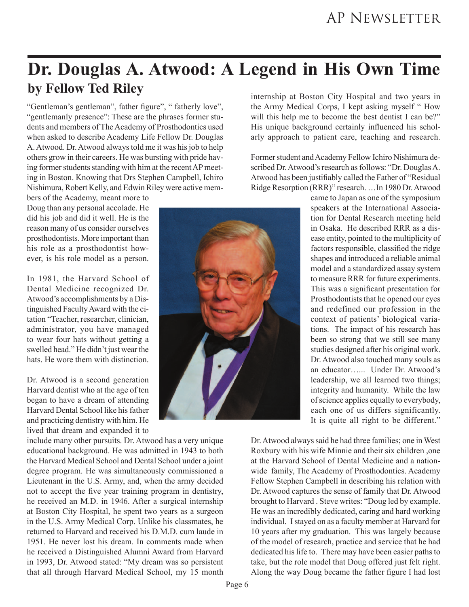## **Dr. Douglas A. Atwood: A Legend in His Own Time by Fellow Ted Riley**

"Gentleman's gentleman", father figure", " fatherly love", "gentlemanly presence": These are the phrases former students and members of The Academy of Prosthodontics used when asked to describe Academy Life Fellow Dr. Douglas A. Atwood. Dr. Atwood always told me it was his job to help others grow in their careers. He was bursting with pride having former students standing with him at the recent AP meeting in Boston. Knowing that Drs Stephen Campbell, Ichiro Nishimura, Robert Kelly, and Edwin Riley were active mem-

bers of the Academy, meant more to Doug than any personal accolade. He did his job and did it well. He is the reason many of us consider ourselves prosthodontists. More important than his role as a prosthodontist however, is his role model as a person.

In 1981, the Harvard School of Dental Medicine recognized Dr. Atwood's accomplishments by a Distinguished Faculty Award with the citation "Teacher, researcher, clinician, administrator, you have managed to wear four hats without getting a swelled head." He didn't just wear the hats. He wore them with distinction.

Dr. Atwood is a second generation Harvard dentist who at the age of ten began to have a dream of attending Harvard Dental School like his father and practicing dentistry with him. He lived that dream and expanded it to

include many other pursuits. Dr. Atwood has a very unique educational background. He was admitted in 1943 to both the Harvard Medical School and Dental School under a joint degree program. He was simultaneously commissioned a Lieutenant in the U.S. Army, and, when the army decided not to accept the five year training program in dentistry, he received an M.D. in 1946. After a surgical internship at Boston City Hospital, he spent two years as a surgeon in the U.S. Army Medical Corp. Unlike his classmates, he returned to Harvard and received his D.M.D. cum laude in 1951. He never lost his dream. In comments made when he received a Distinguished Alumni Award from Harvard in 1993, Dr. Atwood stated: "My dream was so persistent that all through Harvard Medical School, my 15 month



internship at Boston City Hospital and two years in the Army Medical Corps, I kept asking myself " How will this help me to become the best dentist I can be?" His unique background certainly influenced his scholarly approach to patient care, teaching and research.

Former student and Academy Fellow Ichiro Nishimura described Dr. Atwood's research as follows: "Dr. Douglas A. Atwood has been justifiably called the Father of "Residual Ridge Resorption (RRR)" research. …In 1980 Dr. Atwood

> came to Japan as one of the symposium speakers at the International Association for Dental Research meeting held in Osaka. He described RRR as a disease entity, pointed to the multiplicity of factors responsible, classified the ridge shapes and introduced a reliable animal model and a standardized assay system to measure RRR for future experiments. This was a significant presentation for Prosthodontists that he opened our eyes and redefined our profession in the context of patients' biological variations. The impact of his research has been so strong that we still see many studies designed after his original work. Dr. Atwood also touched many souls as an educator…... Under Dr. Atwood's leadership, we all learned two things; integrity and humanity. While the law of science applies equally to everybody, each one of us differs significantly. It is quite all right to be different."

Dr. Atwood always said he had three families; one in West Roxbury with his wife Minnie and their six children ,one at the Harvard School of Dental Medicine and a nationwide family, The Academy of Prosthodontics. Academy Fellow Stephen Campbell in describing his relation with Dr. Atwood captures the sense of family that Dr. Atwood brought to Harvard . Steve writes: "Doug led by example. He was an incredibly dedicated, caring and hard working individual. I stayed on as a faculty member at Harvard for 10 years after my graduation. This was largely because of the model of research, practice and service that he had dedicated his life to. There may have been easier paths to take, but the role model that Doug offered just felt right. Along the way Doug became the father figure I had lost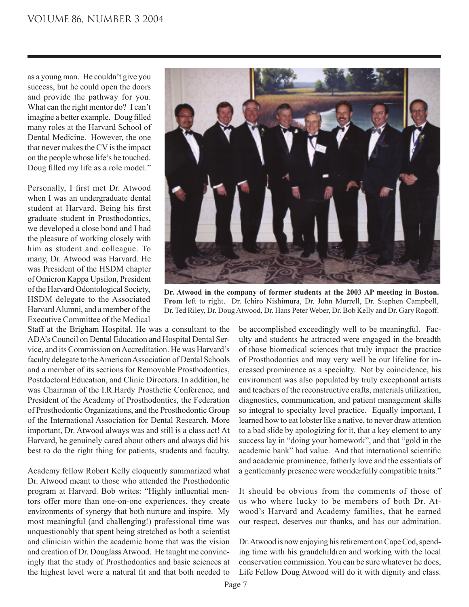as a young man. He couldn't give you success, but he could open the doors and provide the pathway for you. What can the right mentor do? I can't imagine a better example. Doug filled many roles at the Harvard School of Dental Medicine. However, the one that never makes the CV is the impact on the people whose life's he touched. Doug filled my life as a role model."

Personally, I first met Dr. Atwood when I was an undergraduate dental student at Harvard. Being his first graduate student in Prosthodontics, we developed a close bond and I had the pleasure of working closely with him as student and colleague. To many, Dr. Atwood was Harvard. He was President of the HSDM chapter of Omicron Kappa Upsilon, President of the Harvard Odontological Society, HSDM delegate to the Associated Harvard Alumni, and a member of the Executive Committee of the Medical

Staff at the Brigham Hospital. He was a consultant to the ADA's Council on Dental Education and Hospital Dental Service, and its Commission on Accreditation. He was Harvard's faculty delegate to the American Association of Dental Schools and a member of its sections for Removable Prosthodontics, Postdoctoral Education, and Clinic Directors. In addition, he was Chairman of the I.R.Hardy Prosthetic Conference, and President of the Academy of Prosthodontics, the Federation of Prosthodontic Organizations, and the Prosthodontic Group of the International Association for Dental Research. More important, Dr. Atwood always was and still is a class act! At Harvard, he genuinely cared about others and always did his best to do the right thing for patients, students and faculty.

Academy fellow Robert Kelly eloquently summarized what Dr. Atwood meant to those who attended the Prosthodontic program at Harvard. Bob writes: "Highly influential mentors offer more than one-on-one experiences, they create environments of synergy that both nurture and inspire. My most meaningful (and challenging!) professional time was unquestionably that spent being stretched as both a scientist and clinician within the academic home that was the vision and creation of Dr. Douglass Atwood. He taught me convincingly that the study of Prosthodontics and basic sciences at the highest level were a natural fit and that both needed to



**Dr. Atwood in the company of former students at the 2003 AP meeting in Boston. From** left to right. Dr. Ichiro Nishimura, Dr. John Murrell, Dr. Stephen Campbell, Dr. Ted Riley, Dr. Doug Atwood, Dr. Hans Peter Weber, Dr. Bob Kelly and Dr. Gary Rogoff.

be accomplished exceedingly well to be meaningful. Faculty and students he attracted were engaged in the breadth of those biomedical sciences that truly impact the practice of Prosthodontics and may very well be our lifeline for increased prominence as a specialty. Not by coincidence, his environment was also populated by truly exceptional artists and teachers of the reconstructive crafts, materials utilization, diagnostics, communication, and patient management skills so integral to specialty level practice. Equally important, I learned how to eat lobster like a native, to never draw attention to a bad slide by apologizing for it, that a key element to any success lay in "doing your homework", and that "gold in the academic bank" had value. And that international scientific and academic prominence, fatherly love and the essentials of a gentlemanly presence were wonderfully compatible traits."

It should be obvious from the comments of those of us who where lucky to be members of both Dr. Atwood's Harvard and Academy families, that he earned our respect, deserves our thanks, and has our admiration.

Dr. Atwood is now enjoying his retirement on Cape Cod, spending time with his grandchildren and working with the local conservation commission. You can be sure whatever he does, Life Fellow Doug Atwood will do it with dignity and class.